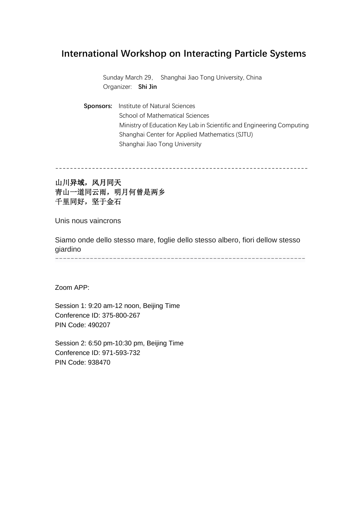# **International Workshop on Interacting Particle Systems**

Sunday March 29, Shanghai Jiao Tong University, China Organizer: **Shi Jin**

**Sponsors:** Institute of Natural Sciences School of Mathematical Sciences Ministry of Education Key Lab in Scientific and Engineering Computing Shanghai Center for Applied Mathematics (SJTU) Shanghai Jiao Tong University

---------------------------------------------------------------------

# 山川异域,风月同天 青山一道同云雨,明月何曾是两乡 千里同好,坚于金石

Unis nous vaincrons

Siamo onde dello stesso mare, foglie dello stesso albero, fiori dellow stesso giardino

-----------------------------------------------------------------

Zoom APP:

Session 1: 9:20 am-12 noon, Beijing Time Conference ID: 375-800-267 PIN Code: 490207

Session 2: 6:50 pm-10:30 pm, Beijing Time Conference ID: 971-593-732 PIN Code: 938470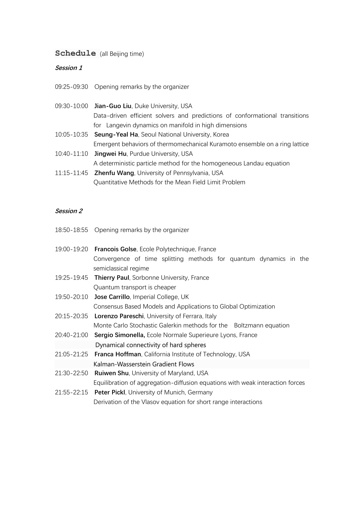# **Schedule** (all Beijing time)

## **Session 1**

- 09:30-10:00 **Jian-Guo Liu**, Duke University, USA Data-driven efficient solvers and predictions of conformational transitions for Langevin dynamics on manifold in high dimensions
- 10:05-10:35 **Seung-Yeal Ha**, Seoul National University, Korea Emergent behaviors of thermomechanical Kuramoto ensemble on a ring lattice
- 10:40-11:10 **Jingwei Hu**, Purdue University, USA A deterministic particle method for the homogeneous Landau equation
- 11:15-11:45 **Zhenfu Wang**, University of Pennsylvania, USA Quantitative Methods for the Mean Field Limit Problem

### **Session 2**

- 18:50-18:55 Opening remarks by the organizer
- 19:00-19:20 **Francois Golse**, Ecole Polytechnique, France Convergence of time splitting methods for quantum dynamics in the semiclassical regime 19:25-19:45 **Thierry Paul**, Sorbonne University, France Quantum transport is cheaper
- 19:50-20:10 **Jose Carrillo**, Imperial College, UK
	- Consensus Based Models and Applications to Global Optimization
- 20:15-20:35 **Lorenzo Pareschi**, University of Ferrara, Italy Monte Carlo Stochastic Galerkin methods for the Boltzmann equation
- 20:40-21:00 **Sergio Simonella,** Ecole Normale Superieure Lyons, France Dynamical connectivity of hard spheres
- 21:05-21:25 **Franca Hoffman**, California Institute of Technology, USA Kalman-Wasserstein Gradient Flows
- 21:30-22:50 **Ruiwen Shu**, University of Maryland, USA

Equilibration of aggregation-diffusion equations with weak interaction forces

21:55-22:15 **Peter Pickl**, University of Munich, Germany Derivation of the Vlasov equation for short range interactions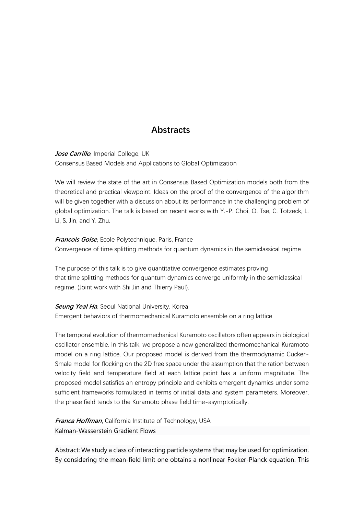# **Abstracts**

**Jose Carrillo**, Imperial College, UK Consensus Based Models and Applications to Global Optimization

We will review the state of the art in Consensus Based Optimization models both from the theoretical and practical viewpoint. Ideas on the proof of the convergence of the algorithm will be given together with a discussion about its performance in the challenging problem of global optimization. The talk is based on recent works with Y.-P. Choi, O. Tse, C. Totzeck, L. Li, S. Jin, and Y. Zhu.

**Francois Golse**, Ecole Polytechnique, Paris, France Convergence of time splitting methods for quantum dynamics in the semiclassical regime

The purpose of this talk is to give quantitative convergence estimates proving that time splitting methods for quantum dynamics converge uniformly in the semiclassical regime. (Joint work with Shi Jin and Thierry Paul).

**Seung Yeal Ha**, Seoul National University, Korea Emergent behaviors of thermomechanical Kuramoto ensemble on a ring lattice

The temporal evolution of thermomechanical Kuramoto oscillators often appears in biological oscillator ensemble. In this talk, we propose a new generalized thermomechanical Kuramoto model on a ring lattice. Our proposed model is derived from the thermodynamic Cucker-Smale model for flocking on the 2D free space under the assumption that the ration between velocity field and temperature field at each lattice point has a uniform magnitude. The proposed model satisfies an entropy principle and exhibits emergent dynamics under some sufficient frameworks formulated in terms of initial data and system parameters. Moreover, the phase field tends to the Kuramoto phase field time-asymptotically.

**Franca Hoffman**, California Institute of Technology, USA Kalman-Wasserstein Gradient Flows

Abstract: We study a class of interacting particle systems that may be used for optimization. By considering the mean-field limit one obtains a nonlinear Fokker-Planck equation. This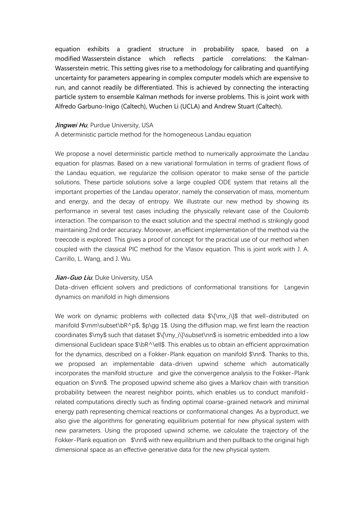equation exhibits a gradient structure in probability space, based on a modified Wasserstein distance which reflects particle correlations: the Kalman-Wasserstein metric. This setting gives rise to a methodology for calibrating and quantifying uncertainty for parameters appearing in complex computer models which are expensive to run, and cannot readily be differentiated. This is achieved by connecting the interacting particle system to ensemble Kalman methods for inverse problems. This is joint work with Alfredo Garbuno-Inigo (Caltech), Wuchen Li (UCLA) and Andrew Stuart (Caltech).

#### *Jingwei Hu*, Purdue University, USA

A deterministic particle method for the homogeneous Landau equation

We propose a novel deterministic particle method to numerically approximate the Landau equation for plasmas. Based on a new variational formulation in terms of gradient flows of the Landau equation, we regularize the collision operator to make sense of the particle solutions. These particle solutions solve a large coupled ODE system that retains all the important properties of the Landau operator, namely the conservation of mass, momentum and energy, and the decay of entropy. We illustrate our new method by showing its performance in several test cases including the physically relevant case of the Coulomb interaction. The comparison to the exact solution and the spectral method is strikingly good maintaining 2nd order accuracy. Moreover, an efficient implementation of the method via the treecode is explored. This gives a proof of concept for the practical use of our method when coupled with the classical PIC method for the Vlasov equation. This is joint work with J. A. Carrillo, L. Wang, and J. Wu.

#### **Jian-Guo Liu**, Duke University, USA

Data-driven efficient solvers and predictions of conformational transitions for Langevin dynamics on manifold in high dimensions

We work on dynamic problems with collected data  $\{\max_i\}\$  that well-distributed on manifold \$\mm\subset\bR^p\$, \$p\gg 1\$. Using the diffusion map, we first learn the reaction coordinates \$\my\$ such that dataset \$\{\my\_i\}\subset\nn\$ is isometric embedded into a low dimensional Euclidean space \$\bR^\ell\$. This enables us to obtain an efficient approximation for the dynamics, described on a Fokker-Plank equation on manifold \$\nn\$. Thanks to this, we proposed an implementable data-driven upwind scheme which automatically incorporates the manifold structure and give the convergence analysis to the Fokker-Plank equation on \$\nn\$. The proposed upwind scheme also gives a Markov chain with transition probability between the nearest neighbor points, which enables us to conduct manifoldrelated computations directly such as finding optimal coarse-grained network and minimal energy path representing chemical reactions or conformational changes. As a byproduct, we also give the algorithms for generating equilibrium potential for new physical system with new parameters. Using the proposed upwind scheme, we calculate the trajectory of the Fokker-Plank equation on \$\nn\$ with new equilibrium and then pullback to the original high dimensional space as an effective generative data for the new physical system.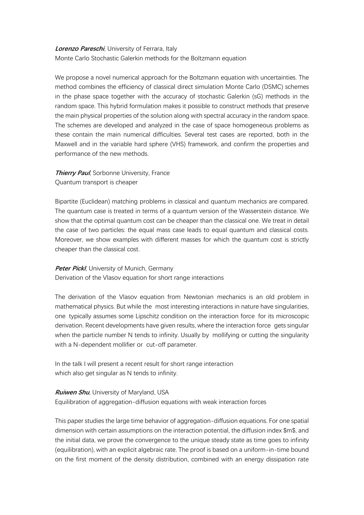## **Lorenzo Pareschi**, University of Ferrara, Italy Monte Carlo Stochastic Galerkin methods for the Boltzmann equation

We propose a novel numerical approach for the Boltzmann equation with uncertainties. The method combines the efficiency of classical direct simulation Monte Carlo (DSMC) schemes in the phase space together with the accuracy of stochastic Galerkin (sG) methods in the random space. This hybrid formulation makes it possible to construct methods that preserve the main physical properties of the solution along with spectral accuracy in the random space. The schemes are developed and analyzed in the case of space homogeneous problems as these contain the main numerical difficulties. Several test cases are reported, both in the Maxwell and in the variable hard sphere (VHS) framework, and confirm the properties and performance of the new methods.

**Thierry Paul**, Sorbonne University, France Quantum transport is cheaper

Bipartite (Euclidean) matching problems in classical and quantum mechanics are compared. The quantum case is treated in terms of a quantum version of the Wasserstein distance. We show that the optimal quantum cost can be cheaper than the classical one. We treat in detail the case of two particles: the equal mass case leads to equal quantum and classical costs. Moreover, we show examples with different masses for which the quantum cost is strictly cheaper than the classical cost.

#### **Peter Pickl**, University of Munich, Germany

Derivation of the Vlasov equation for short range interactions

The derivation of the Vlasov equation from Newtonian mechanics is an old problem in mathematical physics. But while the most interesting interactions in nature have singularities, one typically assumes some Lipschitz condition on the interaction force for its microscopic derivation. Recent developments have given results, where the interaction force gets singular when the particle number N tends to infinity. Usually by mollifying or cutting the singularity with a N-dependent mollifier or cut-off parameter.

In the talk I will present a recent result for short range interaction which also get singular as N tends to infinity.

#### **Ruiwen Shu**, University of Maryland, USA

Equilibration of aggregation-diffusion equations with weak interaction forces

This paper studies the large time behavior of aggregation-diffusion equations. For one spatial dimension with certain assumptions on the interaction potential, the diffusion index \$m\$, and the initial data, we prove the convergence to the unique steady state as time goes to infinity (equilibration), with an explicit algebraic rate. The proof is based on a uniform-in-time bound on the first moment of the density distribution, combined with an energy dissipation rate